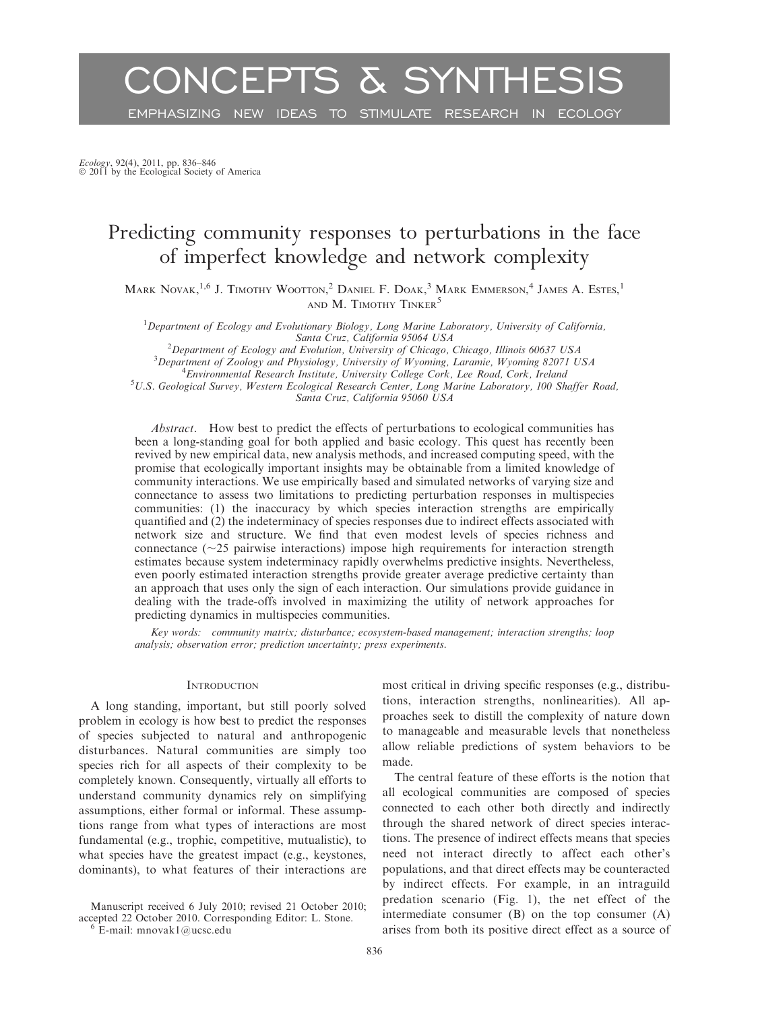# CONCEPTS & SYNTHESIS

EMPHASIZING NEW IDEAS TO STIMULATE RESEARCH IN ECOLOGY

Ecology, 92(4), 2011, pp. 836–846  $\circ$  2011 by the Ecological Society of America

# Predicting community responses to perturbations in the face of imperfect knowledge and network complexity

MARK NOVAK,<sup>1,6</sup> J. TIMOTHY WOOTTON,<sup>2</sup> DANIEL F. DOAK,<sup>3</sup> MARK EMMERSON,<sup>4</sup> JAMES A. ESTES,<sup>1</sup> AND M. TIMOTHY TINKER<sup>5</sup>

<sup>1</sup>Department of Ecology and Evolutionary Biology, Long Marine Laboratory, University of California, Santa Cruz, California 95064 USA<br><sup>2</sup> Department of Ecology and Evolution, University of Chicago

 $\frac{1}{2}$ Department of Ecology and Evolution, University of Chicago, Chicago, Illinois 60637 USA<br>3 Department of Zoology and Physiology, University of Wyoming, Laramia, Wyoming 82071 U

<sup>3</sup>Department of Zoology and Physiology, University of Wyoming, Laramie, Wyoming 82071 USA

<sup>4</sup>Environmental Research Institute, University College Cork, Lee Road, Cork, Ireland

 $^{5}U.S.$  Geological Survey, Western Ecological Research Center, Long Marine Laboratory, 100 Shaffer Road, Santa Cruz, California 95060 USA

Abstract. How best to predict the effects of perturbations to ecological communities has been a long-standing goal for both applied and basic ecology. This quest has recently been revived by new empirical data, new analysis methods, and increased computing speed, with the promise that ecologically important insights may be obtainable from a limited knowledge of community interactions. We use empirically based and simulated networks of varying size and connectance to assess two limitations to predicting perturbation responses in multispecies communities: (1) the inaccuracy by which species interaction strengths are empirically quantified and (2) the indeterminacy of species responses due to indirect effects associated with network size and structure. We find that even modest levels of species richness and connectance  $(\sim 25$  pairwise interactions) impose high requirements for interaction strength estimates because system indeterminacy rapidly overwhelms predictive insights. Nevertheless, even poorly estimated interaction strengths provide greater average predictive certainty than an approach that uses only the sign of each interaction. Our simulations provide guidance in dealing with the trade-offs involved in maximizing the utility of network approaches for predicting dynamics in multispecies communities.

Key words: community matrix; disturbance; ecosystem-based management; interaction strengths; loop analysis; observation error; prediction uncertainty; press experiments.

## **INTRODUCTION**

A long standing, important, but still poorly solved problem in ecology is how best to predict the responses of species subjected to natural and anthropogenic disturbances. Natural communities are simply too species rich for all aspects of their complexity to be completely known. Consequently, virtually all efforts to understand community dynamics rely on simplifying assumptions, either formal or informal. These assumptions range from what types of interactions are most fundamental (e.g., trophic, competitive, mutualistic), to what species have the greatest impact (e.g., keystones, dominants), to what features of their interactions are most critical in driving specific responses (e.g., distributions, interaction strengths, nonlinearities). All approaches seek to distill the complexity of nature down to manageable and measurable levels that nonetheless allow reliable predictions of system behaviors to be made.

The central feature of these efforts is the notion that all ecological communities are composed of species connected to each other both directly and indirectly through the shared network of direct species interactions. The presence of indirect effects means that species need not interact directly to affect each other's populations, and that direct effects may be counteracted by indirect effects. For example, in an intraguild predation scenario (Fig. 1), the net effect of the intermediate consumer (B) on the top consumer (A) arises from both its positive direct effect as a source of

Manuscript received 6 July 2010; revised 21 October 2010; accepted 22 October 2010. Corresponding Editor: L. Stone. <sup>6</sup> E-mail: mnovak1@ucsc.edu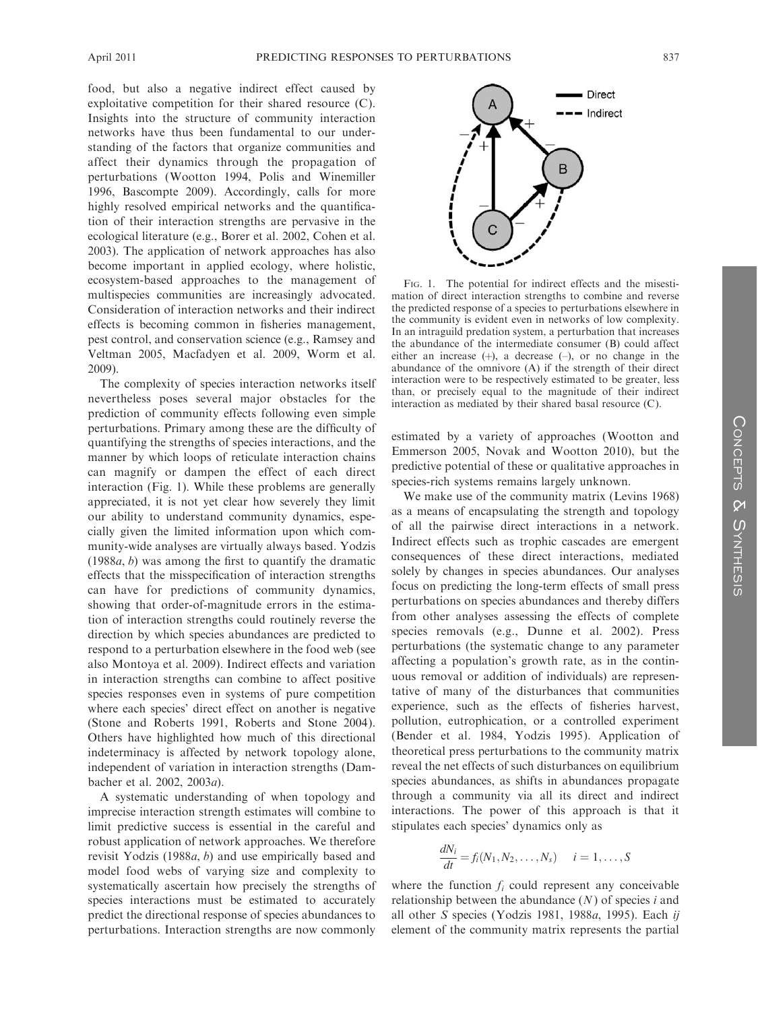food, but also a negative indirect effect caused by exploitative competition for their shared resource (C). Insights into the structure of community interaction networks have thus been fundamental to our understanding of the factors that organize communities and affect their dynamics through the propagation of perturbations (Wootton 1994, Polis and Winemiller 1996, Bascompte 2009). Accordingly, calls for more highly resolved empirical networks and the quantification of their interaction strengths are pervasive in the ecological literature (e.g., Borer et al. 2002, Cohen et al. 2003). The application of network approaches has also become important in applied ecology, where holistic, ecosystem-based approaches to the management of multispecies communities are increasingly advocated. Consideration of interaction networks and their indirect effects is becoming common in fisheries management, pest control, and conservation science (e.g., Ramsey and Veltman 2005, Macfadyen et al. 2009, Worm et al. 2009).

The complexity of species interaction networks itself nevertheless poses several major obstacles for the prediction of community effects following even simple perturbations. Primary among these are the difficulty of quantifying the strengths of species interactions, and the manner by which loops of reticulate interaction chains can magnify or dampen the effect of each direct interaction (Fig. 1). While these problems are generally appreciated, it is not yet clear how severely they limit our ability to understand community dynamics, especially given the limited information upon which community-wide analyses are virtually always based. Yodzis  $(1988a, b)$  was among the first to quantify the dramatic effects that the misspecification of interaction strengths can have for predictions of community dynamics, showing that order-of-magnitude errors in the estimation of interaction strengths could routinely reverse the direction by which species abundances are predicted to respond to a perturbation elsewhere in the food web (see also Montoya et al. 2009). Indirect effects and variation in interaction strengths can combine to affect positive species responses even in systems of pure competition where each species' direct effect on another is negative (Stone and Roberts 1991, Roberts and Stone 2004). Others have highlighted how much of this directional indeterminacy is affected by network topology alone, independent of variation in interaction strengths (Dambacher et al. 2002, 2003a).

A systematic understanding of when topology and imprecise interaction strength estimates will combine to limit predictive success is essential in the careful and robust application of network approaches. We therefore revisit Yodzis  $(1988a, b)$  and use empirically based and model food webs of varying size and complexity to systematically ascertain how precisely the strengths of species interactions must be estimated to accurately predict the directional response of species abundances to perturbations. Interaction strengths are now commonly



FIG. 1. The potential for indirect effects and the misestimation of direct interaction strengths to combine and reverse the predicted response of a species to perturbations elsewhere in the community is evident even in networks of low complexity. In an intraguild predation system, a perturbation that increases the abundance of the intermediate consumer (B) could affect either an increase  $(+)$ , a decrease  $(-)$ , or no change in the abundance of the omnivore (A) if the strength of their direct interaction were to be respectively estimated to be greater, less than, or precisely equal to the magnitude of their indirect interaction as mediated by their shared basal resource (C).

estimated by a variety of approaches (Wootton and Emmerson 2005, Novak and Wootton 2010), but the predictive potential of these or qualitative approaches in species-rich systems remains largely unknown.

We make use of the community matrix (Levins 1968) as a means of encapsulating the strength and topology of all the pairwise direct interactions in a network. Indirect effects such as trophic cascades are emergent consequences of these direct interactions, mediated solely by changes in species abundances. Our analyses focus on predicting the long-term effects of small press perturbations on species abundances and thereby differs from other analyses assessing the effects of complete species removals (e.g., Dunne et al. 2002). Press perturbations (the systematic change to any parameter affecting a population's growth rate, as in the continuous removal or addition of individuals) are representative of many of the disturbances that communities experience, such as the effects of fisheries harvest, pollution, eutrophication, or a controlled experiment (Bender et al. 1984, Yodzis 1995). Application of theoretical press perturbations to the community matrix reveal the net effects of such disturbances on equilibrium species abundances, as shifts in abundances propagate through a community via all its direct and indirect interactions. The power of this approach is that it stipulates each species' dynamics only as

$$
\frac{dN_i}{dt} = f_i(N_1, N_2, \dots, N_s) \quad i = 1, \dots, S
$$

where the function  $f_i$  could represent any conceivable relationship between the abundance  $(N)$  of species i and all other S species (Yodzis 1981, 1988a, 1995). Each ij element of the community matrix represents the partial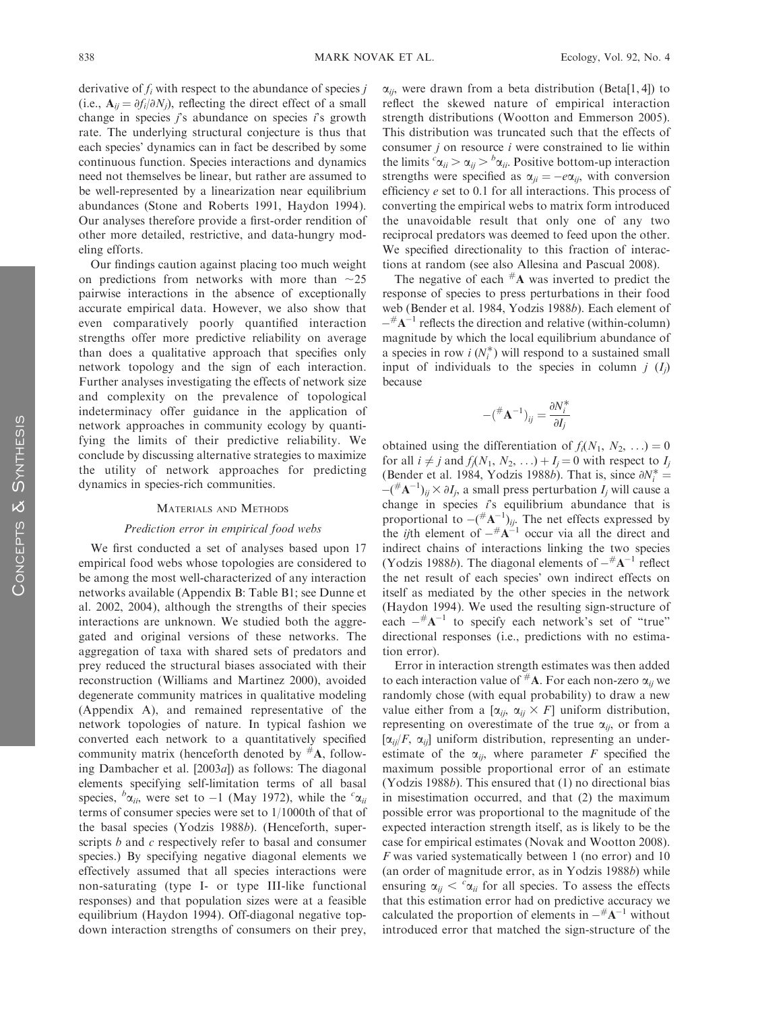derivative of  $f_i$  with respect to the abundance of species j (i.e.,  $A_{ii} = \partial f_i / \partial N_i$ ), reflecting the direct effect of a small change in species  $i$ 's abundance on species  $i$ 's growth rate. The underlying structural conjecture is thus that each species' dynamics can in fact be described by some continuous function. Species interactions and dynamics need not themselves be linear, but rather are assumed to be well-represented by a linearization near equilibrium abundances (Stone and Roberts 1991, Haydon 1994). Our analyses therefore provide a first-order rendition of other more detailed, restrictive, and data-hungry modeling efforts.

Our findings caution against placing too much weight on predictions from networks with more than  $\sim$ 25 pairwise interactions in the absence of exceptionally accurate empirical data. However, we also show that even comparatively poorly quantified interaction strengths offer more predictive reliability on average than does a qualitative approach that specifies only network topology and the sign of each interaction. Further analyses investigating the effects of network size and complexity on the prevalence of topological indeterminacy offer guidance in the application of network approaches in community ecology by quantifying the limits of their predictive reliability. We conclude by discussing alternative strategies to maximize the utility of network approaches for predicting dynamics in species-rich communities.

#### MATERIALS AND METHODS

#### Prediction error in empirical food webs

We first conducted a set of analyses based upon 17 empirical food webs whose topologies are considered to be among the most well-characterized of any interaction networks available (Appendix B: Table B1; see Dunne et al. 2002, 2004), although the strengths of their species interactions are unknown. We studied both the aggregated and original versions of these networks. The aggregation of taxa with shared sets of predators and prey reduced the structural biases associated with their reconstruction (Williams and Martinez 2000), avoided degenerate community matrices in qualitative modeling (Appendix A), and remained representative of the network topologies of nature. In typical fashion we converted each network to a quantitatively specified community matrix (henceforth denoted by  $^{\#}A$ , following Dambacher et al. [2003a]) as follows: The diagonal elements specifying self-limitation terms of all basal species,  ${}^{b} \alpha_{ii}$ , were set to  $-1$  (May 1972), while the  ${}^{c} \alpha_{ii}$ terms of consumer species were set to 1/1000th of that of the basal species (Yodzis 1988b). (Henceforth, superscripts b and c respectively refer to basal and consumer species.) By specifying negative diagonal elements we effectively assumed that all species interactions were non-saturating (type I- or type III-like functional responses) and that population sizes were at a feasible equilibrium (Haydon 1994). Off-diagonal negative topdown interaction strengths of consumers on their prey,

 $\alpha_{ii}$ , were drawn from a beta distribution (Beta[1,4]) to reflect the skewed nature of empirical interaction strength distributions (Wootton and Emmerson 2005). This distribution was truncated such that the effects of consumer  $j$  on resource  $i$  were constrained to lie within the limits  ${}^{c}\alpha_{ii} > \alpha_{ij} > {}^{b}\alpha_{ii}$ . Positive bottom-up interaction strengths were specified as  $\alpha_{ji} = -e\alpha_{ij}$ , with conversion efficiency e set to 0.1 for all interactions. This process of converting the empirical webs to matrix form introduced the unavoidable result that only one of any two reciprocal predators was deemed to feed upon the other. We specified directionality to this fraction of interactions at random (see also Allesina and Pascual 2008).

The negative of each  $^{\#}$ A was inverted to predict the response of species to press perturbations in their food web (Bender et al. 1984, Yodzis 1988b). Each element of  $-\mu^* A^{-1}$  reflects the direction and relative (within-column) magnitude by which the local equilibrium abundance of a species in row  $i(N_i^*)$  will respond to a sustained small input of individuals to the species in column  $j(I_i)$ because

$$
-(^{\#}\mathbf{A}^{-1})_{ij} = \frac{\partial N_i^*}{\partial I_j}
$$

obtained using the differentiation of  $f_i(N_1, N_2, ...) = 0$ for all  $i \neq j$  and  $f_i(N_1, N_2, ...) + I_i = 0$  with respect to  $I_i$ (Bender et al. 1984, Yodzis 1988b). That is, since  $\partial N_i^* =$  $-(^{\#}\text{A}^{-1})_{ij} \times \partial I_j$ , a small press perturbation  $I_j$  will cause a change in species  $i$ 's equilibrium abundance that is proportional to  $-(^{\#}\text{A}^{-1})_{ij}$ . The net effects expressed by the *ij*th element of  $-\#A^{-1}$  occur via all the direct and indirect chains of interactions linking the two species (Yodzis 1988b). The diagonal elements of  $-\#A^{-1}$  reflect the net result of each species' own indirect effects on itself as mediated by the other species in the network (Haydon 1994). We used the resulting sign-structure of each  $-#A^{-1}$  to specify each network's set of "true" directional responses (i.e., predictions with no estimation error).

Error in interaction strength estimates was then added to each interaction value of  $^{\#}$ A. For each non-zero  $\alpha_{ij}$  we randomly chose (with equal probability) to draw a new value either from a  $[\alpha_{ij}, \alpha_{ij} \times F]$  uniform distribution, representing on overestimate of the true  $\alpha_{ij}$ , or from a  $[\alpha_{ij}/F, \alpha_{ij}]$  uniform distribution, representing an underestimate of the  $\alpha_{ij}$ , where parameter F specified the maximum possible proportional error of an estimate (Yodzis 1988 $b$ ). This ensured that (1) no directional bias in misestimation occurred, and that (2) the maximum possible error was proportional to the magnitude of the expected interaction strength itself, as is likely to be the case for empirical estimates (Novak and Wootton 2008). F was varied systematically between 1 (no error) and 10 (an order of magnitude error, as in Yodzis 1988b) while ensuring  $\alpha_{ij} < \alpha_{ii}$  for all species. To assess the effects that this estimation error had on predictive accuracy we calculated the proportion of elements in  $-\#A^{-1}$  without introduced error that matched the sign-structure of the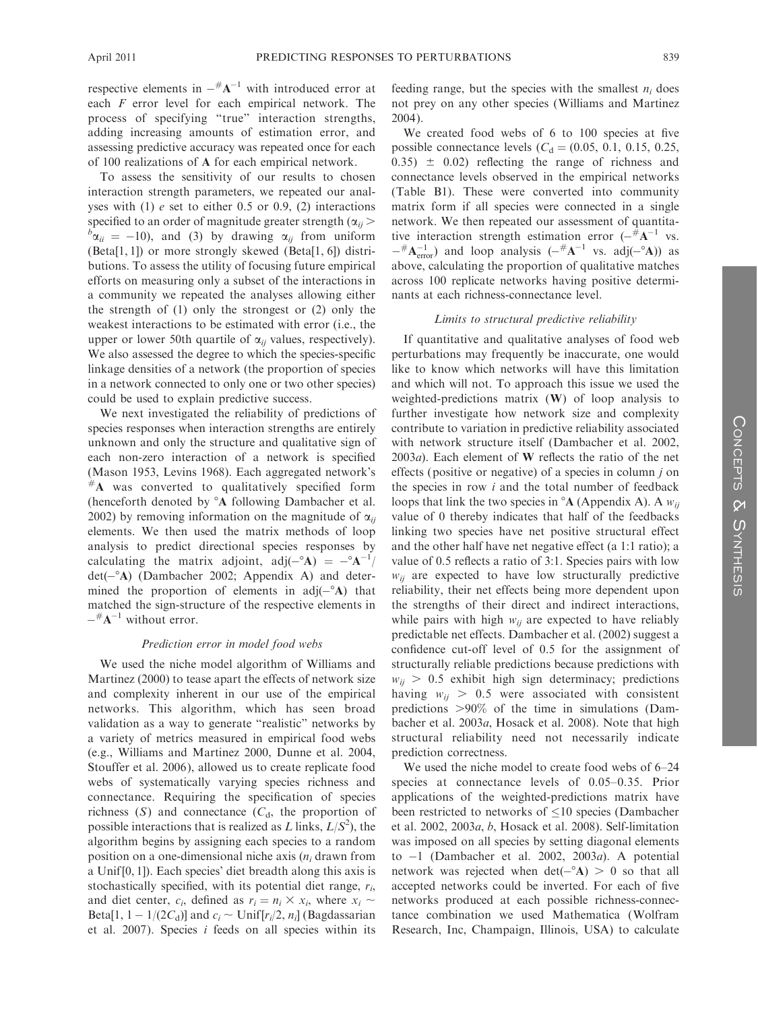respective elements in  $-\#A^{-1}$  with introduced error at each  $F$  error level for each empirical network. The process of specifying ''true'' interaction strengths, adding increasing amounts of estimation error, and assessing predictive accuracy was repeated once for each of 100 realizations of A for each empirical network.

To assess the sensitivity of our results to chosen interaction strength parameters, we repeated our analyses with  $(1)$  e set to either 0.5 or 0.9,  $(2)$  interactions specified to an order of magnitude greater strength  $(\alpha_{ii} >$  ${}^{b}\alpha_{ii} = -10$ , and (3) by drawing  $\alpha_{ii}$  from uniform (Beta[1, 1]) or more strongly skewed (Beta[1, 6]) distributions. To assess the utility of focusing future empirical efforts on measuring only a subset of the interactions in a community we repeated the analyses allowing either the strength of (1) only the strongest or (2) only the weakest interactions to be estimated with error (i.e., the upper or lower 50th quartile of  $\alpha_{ii}$  values, respectively). We also assessed the degree to which the species-specific linkage densities of a network (the proportion of species in a network connected to only one or two other species) could be used to explain predictive success.

We next investigated the reliability of predictions of species responses when interaction strengths are entirely unknown and only the structure and qualitative sign of each non-zero interaction of a network is specified (Mason 1953, Levins 1968). Each aggregated network's #A was converted to qualitatively specified form (henceforth denoted by  $^{\circ}$ A following Dambacher et al. 2002) by removing information on the magnitude of  $\alpha_{ii}$ elements. We then used the matrix methods of loop analysis to predict directional species responses by calculating the matrix adjoint,  $adj(-^\circ A) = -^\circ A^{-1}/$  $det(-<sup>o</sup>A)$  (Dambacher 2002; Appendix A) and determined the proportion of elements in  $adj(-<sup>o</sup>A)$  that matched the sign-structure of the respective elements in  $-$ <sup>#</sup>A<sup>-1</sup> without error.

#### Prediction error in model food webs

We used the niche model algorithm of Williams and Martinez (2000) to tease apart the effects of network size and complexity inherent in our use of the empirical networks. This algorithm, which has seen broad validation as a way to generate ''realistic'' networks by a variety of metrics measured in empirical food webs (e.g., Williams and Martinez 2000, Dunne et al. 2004, Stouffer et al. 2006), allowed us to create replicate food webs of systematically varying species richness and connectance. Requiring the specification of species richness  $(S)$  and connectance  $(C<sub>d</sub>)$ , the proportion of possible interactions that is realized as L links,  $L/S^2$ ), the algorithm begins by assigning each species to a random position on a one-dimensional niche axis  $(n<sub>i</sub>$  drawn from a Unif[0, 1]). Each species' diet breadth along this axis is stochastically specified, with its potential diet range,  $r_i$ , and diet center,  $c_i$ , defined as  $r_i = n_i \times x_i$ , where  $x_i \sim$ Beta[1,  $1 - 1/(2C_d)$ ] and  $c_i \sim \text{Unif}[r_i/2, n_i]$  (Bagdassarian et al. 2007). Species  $i$  feeds on all species within its

feeding range, but the species with the smallest  $n_i$  does not prey on any other species (Williams and Martinez 2004).

We created food webs of 6 to 100 species at five possible connectance levels  $(C_d = (0.05, 0.1, 0.15, 0.25,$  $(0.35) \pm (0.02)$  reflecting the range of richness and connectance levels observed in the empirical networks (Table B1). These were converted into community matrix form if all species were connected in a single network. We then repeated our assessment of quantitative interaction strength estimation error  $(-^{\#}A^{-1}$  vs.  $-\#A_{\text{error}}^{-1}$  and loop analysis  $(-^{\#}A^{-1}$  vs. adj $(-^{\circ}A))$  as above, calculating the proportion of qualitative matches across 100 replicate networks having positive determinants at each richness-connectance level.

#### Limits to structural predictive reliability

If quantitative and qualitative analyses of food web perturbations may frequently be inaccurate, one would like to know which networks will have this limitation and which will not. To approach this issue we used the weighted-predictions matrix (W) of loop analysis to further investigate how network size and complexity contribute to variation in predictive reliability associated with network structure itself (Dambacher et al. 2002,  $2003a$ ). Each element of W reflects the ratio of the net effects (positive or negative) of a species in column  $j$  on the species in row  $i$  and the total number of feedback loops that link the two species in  ${}^{\circ}$ A (Appendix A). A  $w_{ii}$ value of 0 thereby indicates that half of the feedbacks linking two species have net positive structural effect and the other half have net negative effect (a 1:1 ratio); a value of 0.5 reflects a ratio of 3:1. Species pairs with low  $w_{ii}$  are expected to have low structurally predictive reliability, their net effects being more dependent upon the strengths of their direct and indirect interactions, while pairs with high  $w_{ij}$  are expected to have reliably predictable net effects. Dambacher et al. (2002) suggest a confidence cut-off level of 0.5 for the assignment of structurally reliable predictions because predictions with  $w_{ii} > 0.5$  exhibit high sign determinacy; predictions having  $w_{ij} > 0.5$  were associated with consistent predictions  $>90\%$  of the time in simulations (Dambacher et al. 2003a, Hosack et al. 2008). Note that high structural reliability need not necessarily indicate prediction correctness.

We used the niche model to create food webs of 6–24 species at connectance levels of 0.05–0.35. Prior applications of the weighted-predictions matrix have been restricted to networks of  $\leq 10$  species (Dambacher et al. 2002, 2003a, b, Hosack et al. 2008). Self-limitation was imposed on all species by setting diagonal elements to  $-1$  (Dambacher et al. 2002, 2003a). A potential network was rejected when  $det(-<sup>o</sup>A) > 0$  so that all accepted networks could be inverted. For each of five networks produced at each possible richness-connectance combination we used Mathematica (Wolfram Research, Inc, Champaign, Illinois, USA) to calculate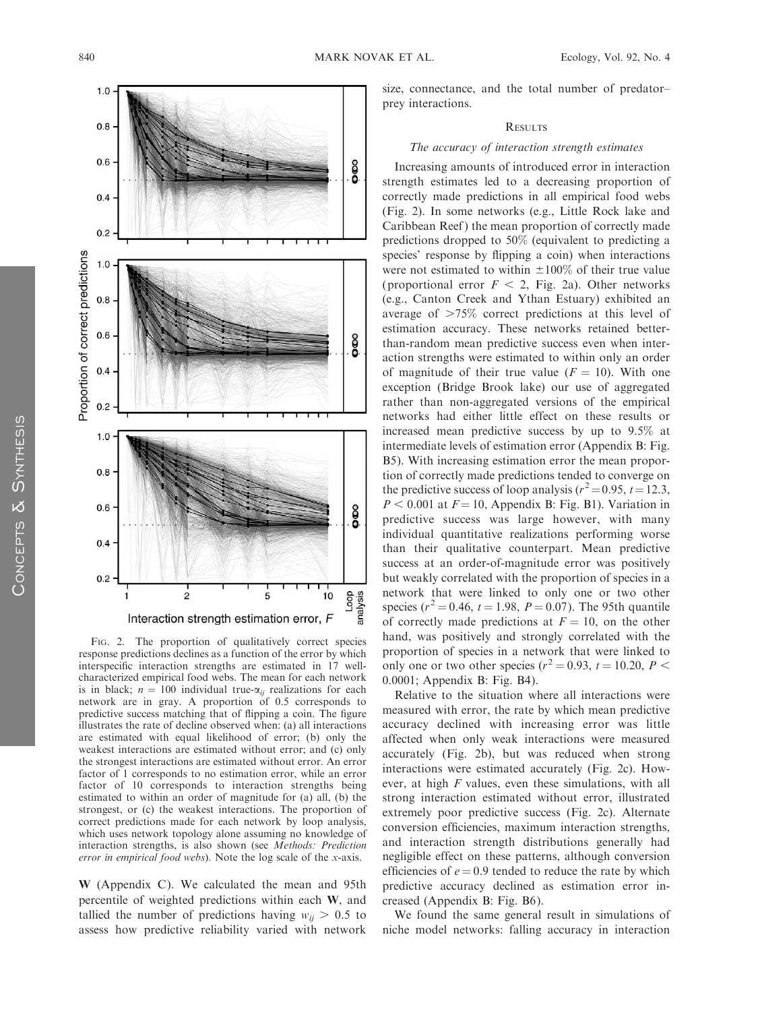

FIG. 2. The proportion of qualitatively correct species response predictions declines as a function of the error by which interspecific interaction strengths are estimated in 17 wellcharacterized empirical food webs. The mean for each network is in black;  $n = 100$  individual true- $\alpha_{ij}$  realizations for each network are in gray. A proportion of 0.5 corresponds to predictive success matching that of flipping a coin. The figure illustrates the rate of decline observed when: (a) all interactions are estimated with equal likelihood of error; (b) only the weakest interactions are estimated without error; and (c) only the strongest interactions are estimated without error. An error factor of 1 corresponds to no estimation error, while an error factor of 10 corresponds to interaction strengths being estimated to within an order of magnitude for (a) all, (b) the strongest, or (c) the weakest interactions. The proportion of correct predictions made for each network by loop analysis, which uses network topology alone assuming no knowledge of interaction strengths, is also shown (see Methods: Prediction error in empirical food webs). Note the log scale of the x-axis.

W (Appendix C). We calculated the mean and 95th percentile of weighted predictions within each W, and tallied the number of predictions having  $w_{ii} > 0.5$  to assess how predictive reliability varied with network size, connectance, and the total number of predator– prey interactions.

### **RESULTS**

### The accuracy of interaction strength estimates

Increasing amounts of introduced error in interaction strength estimates led to a decreasing proportion of correctly made predictions in all empirical food webs (Fig. 2). In some networks (e.g., Little Rock lake and Caribbean Reef ) the mean proportion of correctly made predictions dropped to 50% (equivalent to predicting a species' response by flipping a coin) when interactions were not estimated to within  $\pm 100\%$  of their true value (proportional error  $F < 2$ , Fig. 2a). Other networks (e.g., Canton Creek and Ythan Estuary) exhibited an average of  $>75\%$  correct predictions at this level of estimation accuracy. These networks retained betterthan-random mean predictive success even when interaction strengths were estimated to within only an order of magnitude of their true value ( $F = 10$ ). With one exception (Bridge Brook lake) our use of aggregated rather than non-aggregated versions of the empirical networks had either little effect on these results or increased mean predictive success by up to 9.5% at intermediate levels of estimation error (Appendix B: Fig. B5). With increasing estimation error the mean proportion of correctly made predictions tended to converge on the predictive success of loop analysis ( $r^2$  = 0.95, t = 12.3,  $P < 0.001$  at  $F = 10$ , Appendix B: Fig. B1). Variation in predictive success was large however, with many individual quantitative realizations performing worse than their qualitative counterpart. Mean predictive success at an order-of-magnitude error was positively but weakly correlated with the proportion of species in a network that were linked to only one or two other species ( $r^2 = 0.46$ ,  $t = 1.98$ ,  $P = 0.07$ ). The 95th quantile of correctly made predictions at  $F = 10$ , on the other hand, was positively and strongly correlated with the proportion of species in a network that were linked to only one or two other species ( $r^2 = 0.93$ ,  $t = 10.20$ ,  $P <$ 0.0001; Appendix B: Fig. B4).

Relative to the situation where all interactions were measured with error, the rate by which mean predictive accuracy declined with increasing error was little affected when only weak interactions were measured accurately (Fig. 2b), but was reduced when strong interactions were estimated accurately (Fig. 2c). However, at high  $F$  values, even these simulations, with all strong interaction estimated without error, illustrated extremely poor predictive success (Fig. 2c). Alternate conversion efficiencies, maximum interaction strengths, and interaction strength distributions generally had negligible effect on these patterns, although conversion efficiencies of  $e = 0.9$  tended to reduce the rate by which predictive accuracy declined as estimation error increased (Appendix B: Fig. B6).

We found the same general result in simulations of niche model networks: falling accuracy in interaction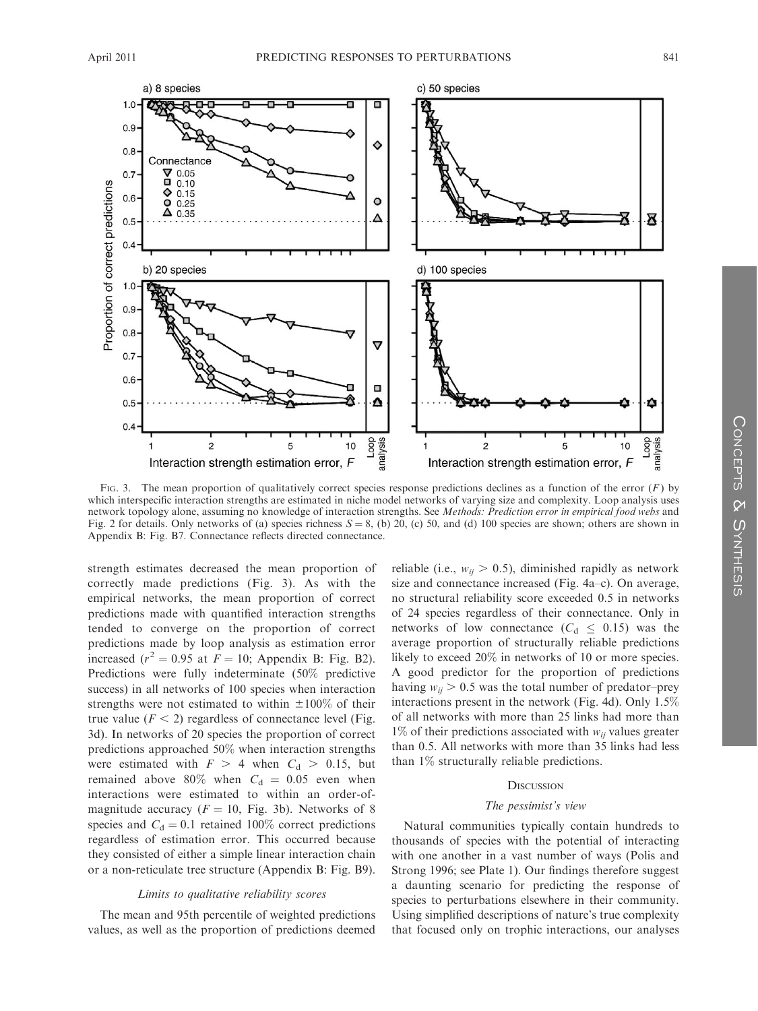

FIG. 3. The mean proportion of qualitatively correct species response predictions declines as a function of the error  $(F)$  by which interspecific interaction strengths are estimated in niche model networks of varying size and complexity. Loop analysis uses network topology alone, assuming no knowledge of interaction strengths. See Methods: Prediction error in empirical food webs and Fig. 2 for details. Only networks of (a) species richness  $S = 8$ , (b) 20, (c) 50, and (d) 100 species are shown; others are shown in Appendix B: Fig. B7. Connectance reflects directed connectance.

strength estimates decreased the mean proportion of correctly made predictions (Fig. 3). As with the empirical networks, the mean proportion of correct predictions made with quantified interaction strengths tended to converge on the proportion of correct predictions made by loop analysis as estimation error increased ( $r^2 = 0.95$  at  $F = 10$ ; Appendix B: Fig. B2). Predictions were fully indeterminate (50% predictive success) in all networks of 100 species when interaction strengths were not estimated to within  $\pm 100\%$  of their true value ( $F < 2$ ) regardless of connectance level (Fig. 3d). In networks of 20 species the proportion of correct predictions approached 50% when interaction strengths were estimated with  $F > 4$  when  $C_d > 0.15$ , but remained above 80% when  $C_d = 0.05$  even when interactions were estimated to within an order-ofmagnitude accuracy ( $F = 10$ , Fig. 3b). Networks of 8 species and  $C_d = 0.1$  retained 100% correct predictions regardless of estimation error. This occurred because they consisted of either a simple linear interaction chain or a non-reticulate tree structure (Appendix B: Fig. B9).

#### Limits to qualitative reliability scores

The mean and 95th percentile of weighted predictions values, as well as the proportion of predictions deemed reliable (i.e.,  $w_{ii} > 0.5$ ), diminished rapidly as network size and connectance increased (Fig. 4a–c). On average, no structural reliability score exceeded 0.5 in networks of 24 species regardless of their connectance. Only in networks of low connectance  $(C_d \leq 0.15)$  was the average proportion of structurally reliable predictions likely to exceed 20% in networks of 10 or more species. A good predictor for the proportion of predictions having  $w_{ii} > 0.5$  was the total number of predator–prey interactions present in the network (Fig. 4d). Only 1.5% of all networks with more than 25 links had more than 1% of their predictions associated with  $w_{ij}$  values greater than 0.5. All networks with more than 35 links had less than 1% structurally reliable predictions.

# **DISCUSSION**

#### The pessimist's view

Natural communities typically contain hundreds to thousands of species with the potential of interacting with one another in a vast number of ways (Polis and Strong 1996; see Plate 1). Our findings therefore suggest a daunting scenario for predicting the response of species to perturbations elsewhere in their community. Using simplified descriptions of nature's true complexity that focused only on trophic interactions, our analyses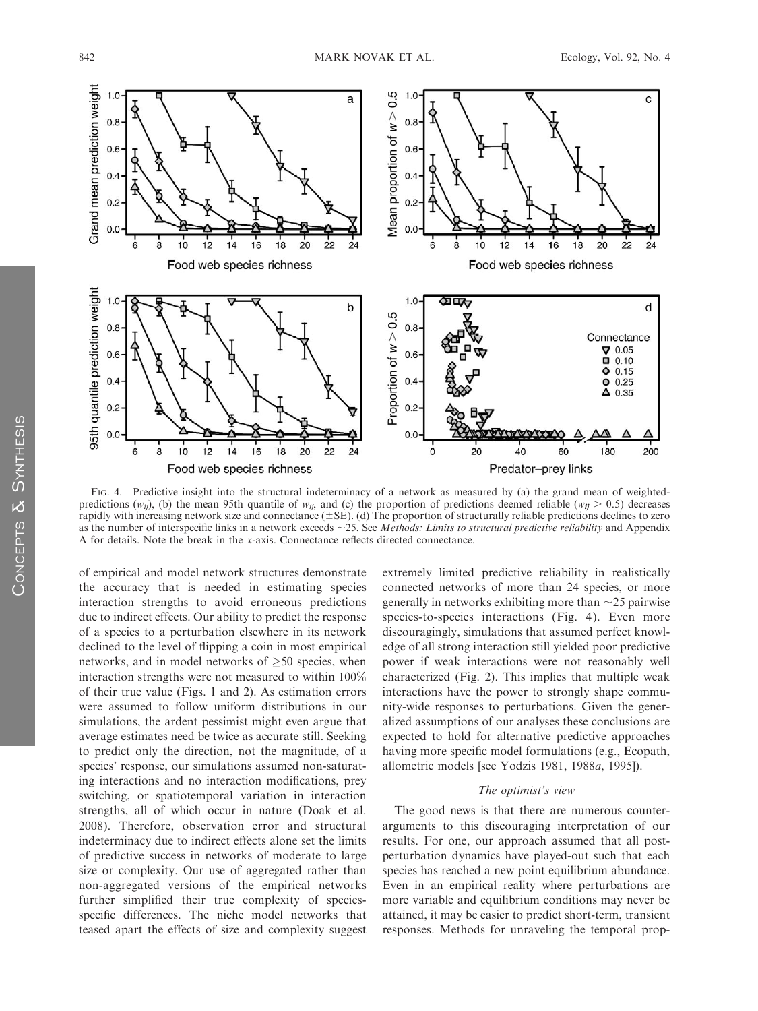

FIG. 4. Predictive insight into the structural indeterminacy of a network as measured by (a) the grand mean of weightedpredictions ( $w_{ii}$ ), (b) the mean 95th quantile of  $w_{ii}$ , and (c) the proportion of predictions deemed reliable ( $w_{ii} > 0.5$ ) decreases rapidly with increasing network size and connectance  $(\pm SE)$ . (d) The proportion of structurally reliable predictions declines to zero as the number of interspecific links in a network exceeds  $\sim$ 25. See *Methods: Limits to structural predictive reliability* and Appendix A for details. Note the break in the x-axis. Connectance reflects directed connectance.

of empirical and model network structures demonstrate the accuracy that is needed in estimating species interaction strengths to avoid erroneous predictions due to indirect effects. Our ability to predict the response of a species to a perturbation elsewhere in its network declined to the level of flipping a coin in most empirical networks, and in model networks of  $\geq 50$  species, when interaction strengths were not measured to within 100% of their true value (Figs. 1 and 2). As estimation errors were assumed to follow uniform distributions in our simulations, the ardent pessimist might even argue that average estimates need be twice as accurate still. Seeking to predict only the direction, not the magnitude, of a species' response, our simulations assumed non-saturating interactions and no interaction modifications, prey switching, or spatiotemporal variation in interaction strengths, all of which occur in nature (Doak et al. 2008). Therefore, observation error and structural indeterminacy due to indirect effects alone set the limits of predictive success in networks of moderate to large size or complexity. Our use of aggregated rather than non-aggregated versions of the empirical networks further simplified their true complexity of speciesspecific differences. The niche model networks that teased apart the effects of size and complexity suggest extremely limited predictive reliability in realistically connected networks of more than 24 species, or more generally in networks exhibiting more than  $\sim$ 25 pairwise species-to-species interactions (Fig. 4). Even more discouragingly, simulations that assumed perfect knowledge of all strong interaction still yielded poor predictive power if weak interactions were not reasonably well characterized (Fig. 2). This implies that multiple weak interactions have the power to strongly shape community-wide responses to perturbations. Given the generalized assumptions of our analyses these conclusions are expected to hold for alternative predictive approaches having more specific model formulations (e.g., Ecopath, allometric models [see Yodzis 1981, 1988a, 1995]).

#### The optimist's view

The good news is that there are numerous counterarguments to this discouraging interpretation of our results. For one, our approach assumed that all postperturbation dynamics have played-out such that each species has reached a new point equilibrium abundance. Even in an empirical reality where perturbations are more variable and equilibrium conditions may never be attained, it may be easier to predict short-term, transient responses. Methods for unraveling the temporal prop-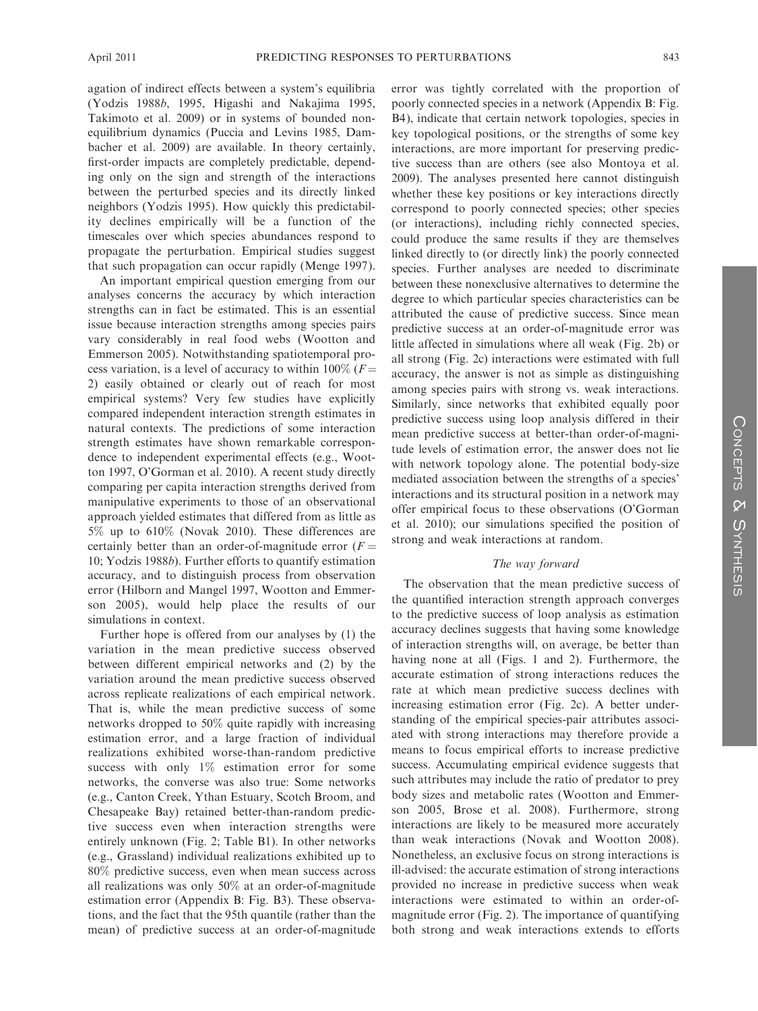agation of indirect effects between a system's equilibria (Yodzis 1988b, 1995, Higashi and Nakajima 1995, Takimoto et al. 2009) or in systems of bounded nonequilibrium dynamics (Puccia and Levins 1985, Dambacher et al. 2009) are available. In theory certainly, first-order impacts are completely predictable, depending only on the sign and strength of the interactions between the perturbed species and its directly linked neighbors (Yodzis 1995). How quickly this predictability declines empirically will be a function of the timescales over which species abundances respond to propagate the perturbation. Empirical studies suggest that such propagation can occur rapidly (Menge 1997).

An important empirical question emerging from our analyses concerns the accuracy by which interaction strengths can in fact be estimated. This is an essential issue because interaction strengths among species pairs vary considerably in real food webs (Wootton and Emmerson 2005). Notwithstanding spatiotemporal process variation, is a level of accuracy to within  $100\%$  ( $F =$ 2) easily obtained or clearly out of reach for most empirical systems? Very few studies have explicitly compared independent interaction strength estimates in natural contexts. The predictions of some interaction strength estimates have shown remarkable correspondence to independent experimental effects (e.g., Wootton 1997, O'Gorman et al. 2010). A recent study directly comparing per capita interaction strengths derived from manipulative experiments to those of an observational approach yielded estimates that differed from as little as 5% up to 610% (Novak 2010). These differences are certainly better than an order-of-magnitude error ( $F =$ 10; Yodzis 1988b). Further efforts to quantify estimation accuracy, and to distinguish process from observation error (Hilborn and Mangel 1997, Wootton and Emmerson 2005), would help place the results of our simulations in context.

Further hope is offered from our analyses by (1) the variation in the mean predictive success observed between different empirical networks and (2) by the variation around the mean predictive success observed across replicate realizations of each empirical network. That is, while the mean predictive success of some networks dropped to 50% quite rapidly with increasing estimation error, and a large fraction of individual realizations exhibited worse-than-random predictive success with only 1% estimation error for some networks, the converse was also true: Some networks (e.g., Canton Creek, Ythan Estuary, Scotch Broom, and Chesapeake Bay) retained better-than-random predictive success even when interaction strengths were entirely unknown (Fig. 2; Table B1). In other networks (e.g., Grassland) individual realizations exhibited up to 80% predictive success, even when mean success across all realizations was only 50% at an order-of-magnitude estimation error (Appendix B: Fig. B3). These observations, and the fact that the 95th quantile (rather than the mean) of predictive success at an order-of-magnitude error was tightly correlated with the proportion of poorly connected species in a network (Appendix B: Fig. B4), indicate that certain network topologies, species in key topological positions, or the strengths of some key interactions, are more important for preserving predictive success than are others (see also Montoya et al. 2009). The analyses presented here cannot distinguish whether these key positions or key interactions directly correspond to poorly connected species; other species (or interactions), including richly connected species, could produce the same results if they are themselves linked directly to (or directly link) the poorly connected species. Further analyses are needed to discriminate between these nonexclusive alternatives to determine the degree to which particular species characteristics can be attributed the cause of predictive success. Since mean predictive success at an order-of-magnitude error was little affected in simulations where all weak (Fig. 2b) or all strong (Fig. 2c) interactions were estimated with full accuracy, the answer is not as simple as distinguishing among species pairs with strong vs. weak interactions. Similarly, since networks that exhibited equally poor predictive success using loop analysis differed in their mean predictive success at better-than order-of-magnitude levels of estimation error, the answer does not lie with network topology alone. The potential body-size mediated association between the strengths of a species' interactions and its structural position in a network may offer empirical focus to these observations (O'Gorman et al. 2010); our simulations specified the position of strong and weak interactions at random.

# The way forward

The observation that the mean predictive success of the quantified interaction strength approach converges to the predictive success of loop analysis as estimation accuracy declines suggests that having some knowledge of interaction strengths will, on average, be better than having none at all (Figs. 1 and 2). Furthermore, the accurate estimation of strong interactions reduces the rate at which mean predictive success declines with increasing estimation error (Fig. 2c). A better understanding of the empirical species-pair attributes associated with strong interactions may therefore provide a means to focus empirical efforts to increase predictive success. Accumulating empirical evidence suggests that such attributes may include the ratio of predator to prey body sizes and metabolic rates (Wootton and Emmerson 2005, Brose et al. 2008). Furthermore, strong interactions are likely to be measured more accurately than weak interactions (Novak and Wootton 2008). Nonetheless, an exclusive focus on strong interactions is ill-advised: the accurate estimation of strong interactions provided no increase in predictive success when weak interactions were estimated to within an order-ofmagnitude error (Fig. 2). The importance of quantifying both strong and weak interactions extends to efforts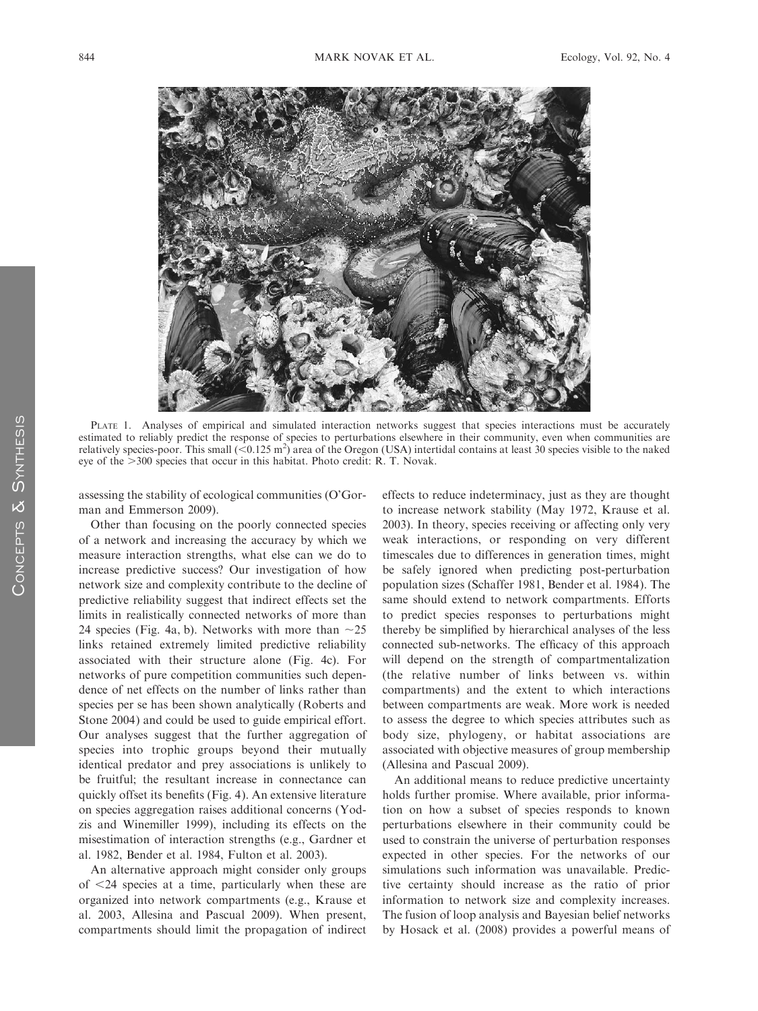

PLATE 1. Analyses of empirical and simulated interaction networks suggest that species interactions must be accurately estimated to reliably predict the response of species to perturbations elsewhere in their community, even when communities are relatively species-poor. This small  $(<0.125 \text{ m}^2$  area of the Oregon (USA) intertidal contains at least 30 species visible to the naked eye of the  $>300$  species that occur in this habitat. Photo credit: R. T. Novak.

assessing the stability of ecological communities (O'Gorman and Emmerson 2009).

Other than focusing on the poorly connected species of a network and increasing the accuracy by which we measure interaction strengths, what else can we do to increase predictive success? Our investigation of how network size and complexity contribute to the decline of predictive reliability suggest that indirect effects set the limits in realistically connected networks of more than 24 species (Fig. 4a, b). Networks with more than  $\sim$ 25 links retained extremely limited predictive reliability associated with their structure alone (Fig. 4c). For networks of pure competition communities such dependence of net effects on the number of links rather than species per se has been shown analytically (Roberts and Stone 2004) and could be used to guide empirical effort. Our analyses suggest that the further aggregation of species into trophic groups beyond their mutually identical predator and prey associations is unlikely to be fruitful; the resultant increase in connectance can quickly offset its benefits (Fig. 4). An extensive literature on species aggregation raises additional concerns (Yodzis and Winemiller 1999), including its effects on the misestimation of interaction strengths (e.g., Gardner et al. 1982, Bender et al. 1984, Fulton et al. 2003).

An alternative approach might consider only groups of  $\leq$ 24 species at a time, particularly when these are organized into network compartments (e.g., Krause et al. 2003, Allesina and Pascual 2009). When present, compartments should limit the propagation of indirect effects to reduce indeterminacy, just as they are thought to increase network stability (May 1972, Krause et al. 2003). In theory, species receiving or affecting only very weak interactions, or responding on very different timescales due to differences in generation times, might be safely ignored when predicting post-perturbation population sizes (Schaffer 1981, Bender et al. 1984). The same should extend to network compartments. Efforts to predict species responses to perturbations might thereby be simplified by hierarchical analyses of the less connected sub-networks. The efficacy of this approach will depend on the strength of compartmentalization (the relative number of links between vs. within compartments) and the extent to which interactions between compartments are weak. More work is needed to assess the degree to which species attributes such as body size, phylogeny, or habitat associations are associated with objective measures of group membership (Allesina and Pascual 2009).

An additional means to reduce predictive uncertainty holds further promise. Where available, prior information on how a subset of species responds to known perturbations elsewhere in their community could be used to constrain the universe of perturbation responses expected in other species. For the networks of our simulations such information was unavailable. Predictive certainty should increase as the ratio of prior information to network size and complexity increases. The fusion of loop analysis and Bayesian belief networks by Hosack et al. (2008) provides a powerful means of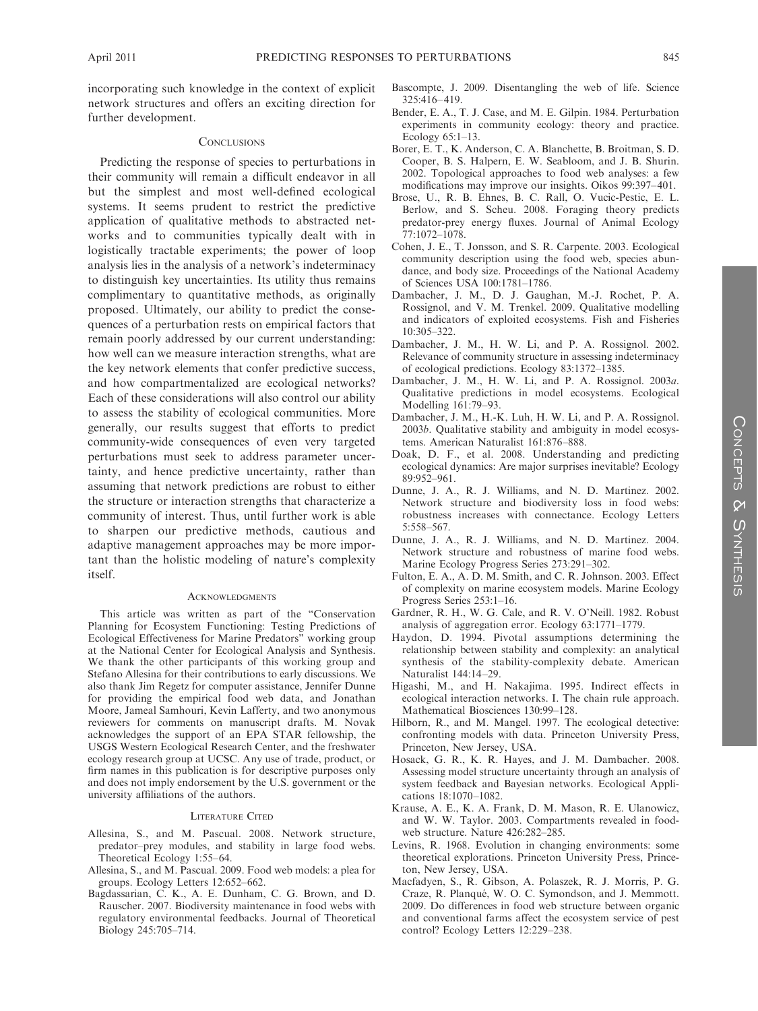incorporating such knowledge in the context of explicit network structures and offers an exciting direction for further development.

# **CONCLUSIONS**

Predicting the response of species to perturbations in their community will remain a difficult endeavor in all but the simplest and most well-defined ecological systems. It seems prudent to restrict the predictive application of qualitative methods to abstracted networks and to communities typically dealt with in logistically tractable experiments; the power of loop analysis lies in the analysis of a network's indeterminacy to distinguish key uncertainties. Its utility thus remains complimentary to quantitative methods, as originally proposed. Ultimately, our ability to predict the consequences of a perturbation rests on empirical factors that remain poorly addressed by our current understanding: how well can we measure interaction strengths, what are the key network elements that confer predictive success, and how compartmentalized are ecological networks? Each of these considerations will also control our ability to assess the stability of ecological communities. More generally, our results suggest that efforts to predict community-wide consequences of even very targeted perturbations must seek to address parameter uncertainty, and hence predictive uncertainty, rather than assuming that network predictions are robust to either the structure or interaction strengths that characterize a community of interest. Thus, until further work is able to sharpen our predictive methods, cautious and adaptive management approaches may be more important than the holistic modeling of nature's complexity itself.

#### **ACKNOWLEDGMENTS**

This article was written as part of the "Conservation Planning for Ecosystem Functioning: Testing Predictions of Ecological Effectiveness for Marine Predators'' working group at the National Center for Ecological Analysis and Synthesis. We thank the other participants of this working group and Stefano Allesina for their contributions to early discussions. We also thank Jim Regetz for computer assistance, Jennifer Dunne for providing the empirical food web data, and Jonathan Moore, Jameal Samhouri, Kevin Lafferty, and two anonymous reviewers for comments on manuscript drafts. M. Novak acknowledges the support of an EPA STAR fellowship, the USGS Western Ecological Research Center, and the freshwater ecology research group at UCSC. Any use of trade, product, or firm names in this publication is for descriptive purposes only and does not imply endorsement by the U.S. government or the university affiliations of the authors.

#### LITERATURE CITED

- Allesina, S., and M. Pascual. 2008. Network structure, predator–prey modules, and stability in large food webs. Theoretical Ecology 1:55–64.
- Allesina, S., and M. Pascual. 2009. Food web models: a plea for groups. Ecology Letters 12:652–662.
- Bagdassarian, C. K., A. E. Dunham, C. G. Brown, and D. Rauscher. 2007. Biodiversity maintenance in food webs with regulatory environmental feedbacks. Journal of Theoretical Biology 245:705–714.
- Bascompte, J. 2009. Disentangling the web of life. Science 325:416–419.
- Bender, E. A., T. J. Case, and M. E. Gilpin. 1984. Perturbation experiments in community ecology: theory and practice. Ecology 65:1–13.
- Borer, E. T., K. Anderson, C. A. Blanchette, B. Broitman, S. D. Cooper, B. S. Halpern, E. W. Seabloom, and J. B. Shurin. 2002. Topological approaches to food web analyses: a few modifications may improve our insights. Oikos 99:397–401.
- Brose, U., R. B. Ehnes, B. C. Rall, O. Vucic-Pestic, E. L. Berlow, and S. Scheu. 2008. Foraging theory predicts predator-prey energy fluxes. Journal of Animal Ecology 77:1072–1078.
- Cohen, J. E., T. Jonsson, and S. R. Carpente. 2003. Ecological community description using the food web, species abundance, and body size. Proceedings of the National Academy of Sciences USA 100:1781–1786.
- Dambacher, J. M., D. J. Gaughan, M.-J. Rochet, P. A. Rossignol, and V. M. Trenkel. 2009. Qualitative modelling and indicators of exploited ecosystems. Fish and Fisheries 10:305–322.
- Dambacher, J. M., H. W. Li, and P. A. Rossignol. 2002. Relevance of community structure in assessing indeterminacy of ecological predictions. Ecology 83:1372–1385.
- Dambacher, J. M., H. W. Li, and P. A. Rossignol. 2003a. Qualitative predictions in model ecosystems. Ecological Modelling 161:79–93.
- Dambacher, J. M., H.-K. Luh, H. W. Li, and P. A. Rossignol. 2003b. Qualitative stability and ambiguity in model ecosystems. American Naturalist 161:876–888.
- Doak, D. F., et al. 2008. Understanding and predicting ecological dynamics: Are major surprises inevitable? Ecology 89:952–961.
- Dunne, J. A., R. J. Williams, and N. D. Martinez. 2002. Network structure and biodiversity loss in food webs: robustness increases with connectance. Ecology Letters 5:558–567.
- Dunne, J. A., R. J. Williams, and N. D. Martinez. 2004. Network structure and robustness of marine food webs. Marine Ecology Progress Series 273:291–302.
- Fulton, E. A., A. D. M. Smith, and C. R. Johnson. 2003. Effect of complexity on marine ecosystem models. Marine Ecology Progress Series 253:1–16.
- Gardner, R. H., W. G. Cale, and R. V. O'Neill. 1982. Robust analysis of aggregation error. Ecology 63:1771–1779.
- Haydon, D. 1994. Pivotal assumptions determining the relationship between stability and complexity: an analytical synthesis of the stability-complexity debate. American Naturalist 144:14–29.
- Higashi, M., and H. Nakajima. 1995. Indirect effects in ecological interaction networks. I. The chain rule approach. Mathematical Biosciences 130:99–128.
- Hilborn, R., and M. Mangel. 1997. The ecological detective: confronting models with data. Princeton University Press, Princeton, New Jersey, USA.
- Hosack, G. R., K. R. Hayes, and J. M. Dambacher. 2008. Assessing model structure uncertainty through an analysis of system feedback and Bayesian networks. Ecological Applications 18:1070–1082.
- Krause, A. E., K. A. Frank, D. M. Mason, R. E. Ulanowicz, and W. W. Taylor. 2003. Compartments revealed in foodweb structure. Nature 426:282–285.
- Levins, R. 1968. Evolution in changing environments: some theoretical explorations. Princeton University Press, Princeton, New Jersey, USA.
- Macfadyen, S., R. Gibson, A. Polaszek, R. J. Morris, P. G. Craze, R. Planqué, W. O. C. Symondson, and J. Memmott. 2009. Do differences in food web structure between organic and conventional farms affect the ecosystem service of pest control? Ecology Letters 12:229–238.